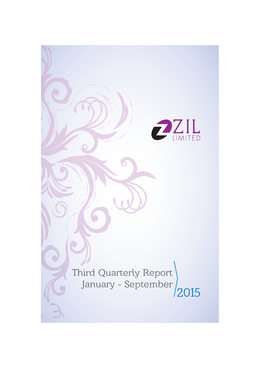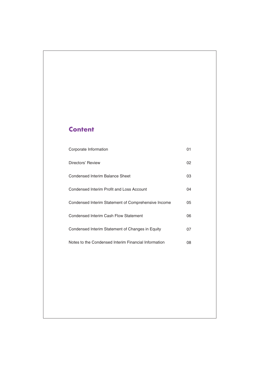# **Content**

| Corporate Information                                | 01 |
|------------------------------------------------------|----|
| Directors' Review                                    | 02 |
| Condensed Interim Balance Sheet                      | 03 |
| Condensed Interim Profit and Loss Account            | 04 |
| Condensed Interim Statement of Comprehensive Income  | 05 |
| Condensed Interim Cash Flow Statement                | 06 |
| Condensed Interim Statement of Changes in Equity     | 07 |
| Notes to the Condensed Interim Financial Information | 08 |
|                                                      |    |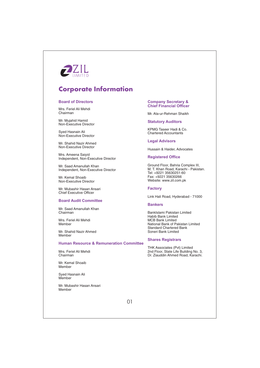

# **Corporate Information**

#### **Board of Directors**

Mrs. Feriel Ali Mehdi Chairman

Mr. Mujahid Hamid Non-Executive Director

Sved Hasnain Ali Non-Executive Director

Mr. Shahid Nazir Ahmed Non-Executive Director

Mrs. Ameena Saivid Independent, Non-Executive Director

Mr. Saad Amanullah Khan Independent, Non-Executive Director

Mr. Kemal Shoaib Non-Executive Director

Mr. Mubashir Hasan Ansari **Chief Executive Officer** 

#### **Board Audit Committee**

Mr. Saad Amanullah Khan Chairman

Mrs. Feriel Ali Mehdi Member

Mr. Shahid Nazir Ahmed Member

#### **Human Resource & Remuneration Committee**

Mrs. Feriel Ali Mehdi Chairman

Mr. Kemal Shoaib Mamhar

Syed Hasnain Ali Member

Mr. Mubashir Hasan Ansari Member

#### **Company Secretary & Chief Financial Officer**

Mr. Ata-ur-Rehman Shaikh

#### **Statutory Auditors**

KPMG Taseer Hadi & Co. **Chartered Accountants** 

### **Legal Advisors**

Hussain & Haider, Advocates

#### **Registered Office**

Ground Floor, Bahria Complex III, M. T. Khan Road, Karachi - Pakistan. Tel: +9221 35630251-60 Fax: +9221 35630266 Website: www.zil.com.pk

#### **Factory**

Link Hali Road, Hyderabad - 71000

#### **Bankers**

BankIslami Pakistan Limited Habib Bank Limited **MCB Bank Limited** National Bank of Pakistan Limited **Standard Chartered Bank** Soneri Bank Limited

#### **Shares Registrars**

THK Associates (Pvt) Limited<br>2nd Floor, State Life Building No. 3, Dr. Ziauddin Ahmed Road, Karachi.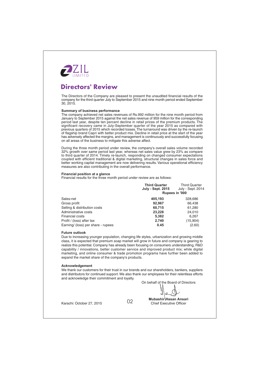

# **Directors' Review**

The Directors of the Company are pleased to present the unaudited financial results of the company for the third quarter July to September 2015 and nine month period ended September 30, 2015.

#### **Summary of business performance**

The company achieved net sales revenues of Rs.992 million for the nine month period from January to September 2015 against the net sales revenue of 959 million for the corresponding period last year, despite ten percent decline in retail prices of the premium products. The significant recovery came in July-September quarter of the year 2015 as compared with previous quarters of 2015 which recorded losses. The turnaround was driven by the re-launch of flagship brand Capri with better product mix. Decline in retail price at the start of the year has adversely affected the margins, and management is continuously and successfully focusing on all areas of the business to mitigate this adverse affect.

During the three month period under review, the company's overall sales volume recorded 32% growth over same period last year, whereas net sales value grew by 23% as compare to third quarter of 2014. Timely re-launch, responding on changed consumer expectations coupled with efficient traditional & digital marketing, structural changes in sales force and better working capital management are now delivering results. Various operational efficiency measures are also contributing in the overall performance.

#### Financial position at a glance

Financial results for the three month period under review are as follows:

|                                    | <b>Third Quarter</b><br><b>July - Sept. 2015</b> | <b>Third Quarter</b><br>July - Sept. 2014 |
|------------------------------------|--------------------------------------------------|-------------------------------------------|
|                                    | Rupees in '000                                   |                                           |
| Sales-net                          | 405.193                                          | 328,686                                   |
| Gross profit                       | 92,967                                           | 66,438                                    |
| Selling & distribution costs       | 60.715                                           | 61,280                                    |
| Administrative costs               | 23,228                                           | 24,010                                    |
| <b>Financial costs</b>             | 5,382                                            | 6,267                                     |
| Profit / (loss) after tax          | 2,740                                            | (15,904)                                  |
| Earning/ (loss) per share - rupees | 0.45                                             | (2.60)                                    |

#### **Future outlook**

Due to increasing younger population, changing life styles, urbanization and growing middle class, it is expected that premium soap market will grow in future and company is gearing to realize this potential. Company has already been focusing on consumers understanding, R&D capability / innovations, better customer service and improved product mix; while digital marketing, and online consumer & trade promotion programs have further been added to expand the market share of the company's products.

#### Acknowledgement

We thank our customers for their trust in our brands and our shareholders, bankers, suppliers and distributors for continued support. We also thank our employees for their relentless efforts and acknowledge their commitment and loyalty.

On behalf of the Board of Directors

Karachi: October 27, 2015

02

Mubashir Hasan Ansari **Chief Executive Officer**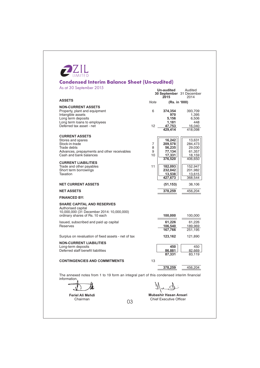| <b>Condensed Interim Balance Sheet (Un-audited)</b><br>As at 30 September 2015                                                                                                                      |                   | Un-audited<br>30 September 31 December                     | Audited                                                    |
|-----------------------------------------------------------------------------------------------------------------------------------------------------------------------------------------------------|-------------------|------------------------------------------------------------|------------------------------------------------------------|
| <b>ASSETS</b>                                                                                                                                                                                       |                   | 2015                                                       | 2014                                                       |
| <b>NON-CURRENT ASSETS</b>                                                                                                                                                                           | Note              | (Rs. in '000)                                              |                                                            |
| Property, plant and equipment<br>Intangible assets<br>Long term deposits<br>Long term loans to employees<br>Deferred tax asset - net                                                                | 6<br>12           | 374.354<br>970<br>5.156<br>1,181<br>47,753                 | 393,709<br>1,395<br>6,506<br>448<br>16,040                 |
|                                                                                                                                                                                                     |                   | 429,414                                                    | 418,098                                                    |
| <b>CURRENT ASSETS</b><br>Stores and spares<br>Stock-in-trade<br>Trade debts<br>Advances, prepayments and other receivables<br>Cash and bank balances                                                | 7<br>8<br>9<br>10 | 16,242<br>209,578<br>56,235<br>77,134<br>17,331<br>376,520 | 13,631<br>284,473<br>29,030<br>61,357<br>18,159<br>406,650 |
| <b>CURRENT LIABILITIES</b><br>Trade and other payables<br>Short term borrowings<br>Taxation                                                                                                         | 11                | 182,093<br>232,042<br>13,538  <br>427,673                  | 152,947<br>201,982<br>13,615<br>368,544                    |
| <b>NET CURRENT ASSETS</b>                                                                                                                                                                           |                   | (51, 153)                                                  | 38,106                                                     |
| <b>NET ASSETS</b>                                                                                                                                                                                   |                   | 378,259                                                    | 456,204                                                    |
| <b>FINANCED BY:</b>                                                                                                                                                                                 |                   |                                                            |                                                            |
| <b>SHARE CAPITAL AND RESERVES</b><br>Authorised capital<br>10,000,000 (31 December 2014: 10,000,000)<br>ordinary shares of Rs. 10 each<br>Issued, subscribed and paid up capital<br><b>Reserves</b> |                   | 100,000<br>61,226<br>106,540<br>167,766                    | 100,000<br>61,226<br>189,969<br>251,195                    |
| Surplus on revaluation of fixed assets - net of tax                                                                                                                                                 |                   | 123,162                                                    | 121,890                                                    |
| <b>NON-CURRENT LIABILITIES</b><br>Long-term deposits<br>Deferred staff benefit liabilities                                                                                                          |                   | 450<br>86.881<br>87,331                                    | 450<br>82,669<br>83,119                                    |
| <b>CONTINGENCIES AND COMMITMENTS</b>                                                                                                                                                                | 13                |                                                            |                                                            |
|                                                                                                                                                                                                     |                   | 378,259                                                    | 456,204                                                    |
| The annexed notes from 1 to 19 form an integral part of this condensed interim financial<br>information.                                                                                            |                   |                                                            |                                                            |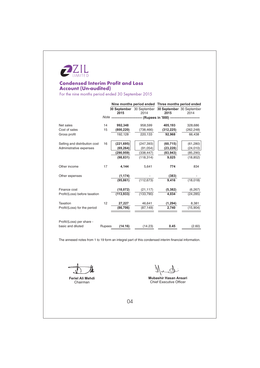

# **Condensed Interim Profit and Loss Account (Un-audited)**

For the nine months period ended 30 September 2015

|                               |        | Nine months period ended Three months period ended |            |                                                                             |            |
|-------------------------------|--------|----------------------------------------------------|------------|-----------------------------------------------------------------------------|------------|
|                               |        | 2015                                               | 2014       | 30 September 30 September 30 September 30 September<br>2015                 | 2014       |
|                               |        |                                                    |            | Note -------------------------- (Rupees in '000) -------------------------- |            |
|                               |        |                                                    |            |                                                                             |            |
| Net sales                     | 14     | 992,348                                            | 958,599    | 405,193                                                                     | 328,686    |
| Cost of sales                 | 15     | (800, 220)                                         | (738,466)  | (312, 225)                                                                  | (262, 248) |
| Gross profit                  |        | 192,128                                            | 220,133    | 92,968                                                                      | 66,438     |
|                               |        |                                                    |            |                                                                             |            |
| Selling and distribution cost | 16     | (221, 695)                                         | (247, 393) | (60, 715)                                                                   | (61, 280)  |
| Administrative expenses       |        | (69, 264)                                          | (91, 054)  | (23, 228)                                                                   | (24, 010)  |
|                               |        | (290, 959)                                         | (338, 447) | (83, 943)                                                                   | (85, 290)  |
|                               |        | (98, 831)                                          | (118, 314) | 9,025                                                                       | (18, 852)  |
|                               |        |                                                    |            |                                                                             |            |
| Other income                  | 17     | 4,144                                              | 5,641      | 774                                                                         | 834        |
|                               |        |                                                    |            |                                                                             |            |
| Other expenses                |        | (1, 174)                                           |            | (383)                                                                       |            |
|                               |        | (95, 861)                                          | (112, 673) | 9,416                                                                       | (18,018)   |
|                               |        |                                                    |            |                                                                             |            |
| Finance cost                  |        | (18,072)                                           | (21, 117)  | (5, 382)                                                                    | (6, 267)   |
| Profit/(Loss) before taxation |        | (113, 933)                                         | (133,790)  | 4,034                                                                       | (24, 285)  |
|                               |        |                                                    |            |                                                                             |            |
| Taxation                      | 12     | 27,227                                             | 46,641     | (1, 294)                                                                    | 8,381      |
| Profit/(Loss) for the period  |        | (86, 706)                                          | (87, 149)  | 2,740                                                                       | (15,904)   |
|                               |        |                                                    |            |                                                                             |            |
|                               |        |                                                    |            |                                                                             |            |
| Profit/(Loss) per share -     |        |                                                    |            |                                                                             |            |
| basic and diluted             | Rupees | (14.16)                                            | (14.23)    | 0.45                                                                        | (2.60)     |
|                               |        |                                                    |            |                                                                             |            |

The annexed notes from 1 to 19 form an integral part of this condensed interim financial information.

Feriel Ali Mehdi Chairman

Nuch

Mubashir Hasan Ansari Chief Executive Officer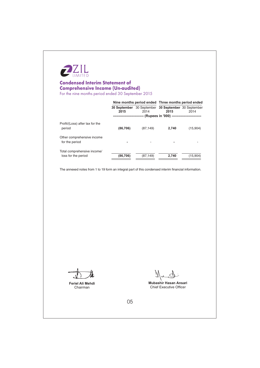

# **Condensed Interim Statement of Comprehensive Income (Un-audited)**<br>For the nine months period ended 30 September 2015

| Nine months period ended Three months period ended  |      |             |                |
|-----------------------------------------------------|------|-------------|----------------|
| 30 September 30 September 30 September 30 September |      |             |                |
| <b>OOAF</b>                                         | 0.11 | <b>OOAF</b> | 0 <sup>4</sup> |

|                                                    | 2015      | 2014      | 30 September 30 September 30 September 30 September<br>2015 | 2014     |
|----------------------------------------------------|-----------|-----------|-------------------------------------------------------------|----------|
|                                                    |           |           | ------- (Rupees in '000).                                   |          |
| Profit/(Loss) after tax for the<br>period          | (86, 706) | (87, 149) | 2,740                                                       | (15,904) |
| Other comprehensive income<br>for the period       |           |           |                                                             |          |
| Total comprehensive income/<br>loss for the period | (86, 706) | (87, 149) | 2,740                                                       | (15,904) |

The annexed notes from 1 to 19 form an integral part of this condensed interim financial information.

Feriel Ali Mehdi Chairman

Ŋ

Mubashir Hasan Ansari Chief Executive Officer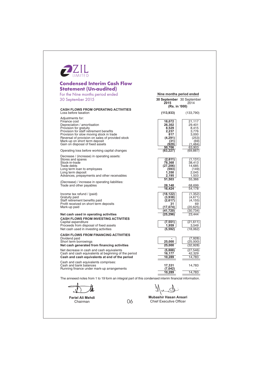| <b>Condensed Interim Cash Flow</b><br><b>Statement (Un-audited)</b>                                                                                                              |                                                                       |                                                                       |
|----------------------------------------------------------------------------------------------------------------------------------------------------------------------------------|-----------------------------------------------------------------------|-----------------------------------------------------------------------|
| For the Nine months period ended                                                                                                                                                 | Nine months period ended                                              |                                                                       |
| 30 September 2015                                                                                                                                                                | 30 September 30 September<br>2015<br>(Rs. in '000)                    | 2014                                                                  |
| <b>CASH FLOWS FROM OPERATING ACTIVITIES</b><br>Loss before taxation                                                                                                              | (113, 933)                                                            | (133,790)                                                             |
| Adjustments for:<br>Finance cost<br>Depreciation / amortisation<br>Provision for gratuity<br>Provision for staff retirement benefits<br>Provision for slow moving stock in trade | 18,072<br>26,302<br>8,529<br>2,237<br>817                             | 21,117<br>29,401<br>8,415<br>3,776<br>3,000                           |
| Reversal of provision on sales of provided stock<br>Mark-up on short term deposit<br>Gain on disposal of fixed assets<br>Operating loss before working capital changes           | (4, 291)<br>(31)<br>(929)<br>50,706<br>(63, 227)                      | (253)<br>(69)<br>(1,484)<br>63,903<br>(69, 887)                       |
| Decrease / (increase) in operating assets:<br>Stores and spares<br>Stock-in-trade<br>Trade debts<br>Long term loan to employees                                                  | (2,611)<br>78,368<br>(27, 206)<br>(593)                               | (1, 131)<br>38,413<br>14,685<br>(149)                                 |
| Long term deposit<br>Advances, prepayments and other receivables<br>(Decrease) / increase in operating liabilities:                                                              | 1,350<br>2,195<br>51,503                                              | 2,045<br>1,503<br>55,366                                              |
| Trade and other payables<br>Income tax refund / (paid)<br>Gratuity paid<br>Staff retirement benefits paid<br>Profit received on short term deposits<br>Mark-up paid              | 28,148<br>16,424<br>(18, 122)<br>(3,938)<br>(2,617)<br>31<br>(17,074) | 68,699<br>54,178<br>(1,352)<br>(4,671)<br>(4, 155)<br>69<br>(20, 625) |
| Net cash used in operating activities                                                                                                                                            | (41, 720)<br>(25,296)                                                 | (30,734)<br>23,444                                                    |
| <b>CASH FLOWS FROM INVESTING ACTIVITIES</b><br>Capital expenditure<br>Proceeds from disposal of fixed assets<br>Net cash used in investing activities                            | (7, 551)<br>1,959<br>(5, 592)                                         | (21, 611)<br>3,549<br>(18,062)                                        |
| <b>CASH FLOWS FROM FINANCING ACTIVITIES</b><br>Dividend paid<br>Short term borrowings<br>Net cash generated from financing activities                                            | 25,000<br>25,000                                                      | (7,928)<br>(25,000)<br>(32,928)                                       |
| Net decrease in cash and cash equivalents<br>Cash and cash equivalents at beginning of the period<br>Cash and cash equivalents at end of the period                              | (5,888)<br>16,177<br>10,289                                           | (27, 546)<br>42,329<br>14,783                                         |
| Cash and cash equivalents comprises:<br>Cash and bank balances<br>Running finance under mark-up arrangements                                                                     | 17,331<br>(7, 042)<br>10.289                                          | 14,783<br>14.783                                                      |

06

Feriel Ali Mehdi<br>Chairman

Mubashir Hasan Ansari

Chief Executive Officer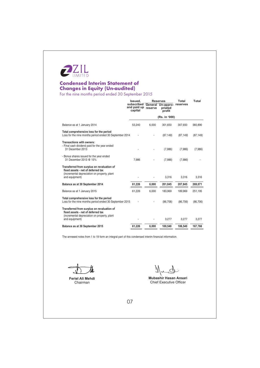

# **Condensed Interim Statement of Changes in Equity (Un-audited)**<br>For the nine months period ended 30 September 2015

|                                                                                                                                                    | Issued,<br>subscribed<br>and paid up<br>capital | reserve | Reserves<br>General Un-appro-<br>priated<br>profit | Total<br>reserves | Total     |
|----------------------------------------------------------------------------------------------------------------------------------------------------|-------------------------------------------------|---------|----------------------------------------------------|-------------------|-----------|
|                                                                                                                                                    |                                                 |         | (Rs. in '000)                                      |                   |           |
| Balance as at 1 January 2014                                                                                                                       | 53,240                                          | 6,000   | 301,650                                            | 307,650           | 360,890   |
| Total comprehensive loss for the period<br>Loss for the nine months period ended 30 September 2014                                                 |                                                 |         | (87, 149)                                          | (87, 149)         | (87, 149) |
| Transactions with owners:<br>- Final cash dividend paid for the year ended<br>31 December 2013                                                     |                                                 |         | (7,986)                                            | (7,986)           | (7,986)   |
| - Bonus shares issued for the year ended<br>31 December 2013 @ 15%                                                                                 | 7.986                                           |         | (7,986)                                            | (7,986)           |           |
| Transferred from surplus on revaluation of<br>fixed assets - net of deferred tax<br>(incremental depreciation on property, plant<br>and equipment) |                                                 |         | 3,316                                              | 3,316             | 3,316     |
| Balance as at 30 September 2014                                                                                                                    | 61.226                                          | 6,000   | 201,845                                            | 207,845           | 269,071   |
| Balance as at 1 January 2015                                                                                                                       | 61,226                                          | 6.000   | 183.969                                            | 189.969           | 251.195   |
| Total comprehensive loss for the period<br>Loss for the nine months period ended 30 September 2015                                                 |                                                 |         | (86, 706)                                          | (86, 706)         | (86, 706) |
| Transferred from surplus on revaluation of<br>fixed assets - net of deferred tax<br>(incremental depreciation on property, plant<br>and equipment) |                                                 |         | 3,277                                              | 3,277             | 3,277     |
| Balance as at 30 September 2015                                                                                                                    | 61,226                                          | 6,000   | 100,540                                            | 106,540           | 167,766   |
|                                                                                                                                                    |                                                 |         |                                                    |                   |           |

The annexed notes from 1 to 19 form an integral part of this condensed interim financial information.

Feriel Ali Mehdi Chairman

Nund

Mubashir Hasan Ansari Chief Executive Officer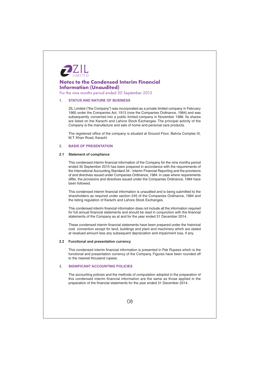

For the nine months period ended 30 September 2015

#### **STATUS AND NATURE OF BUSINESS**  $\blacksquare$

ZIL Limited ("the Company") was incorporated as a private limited company in February 1960 under the Companies Act, 1913 (now the Companies Ordinance, 1984) and was subsequently converted into a public limited company in November 1986. Its shares are listed on the Karachi and Lahore Stock Exchanges. The principal activity of the Company is the manufacture and sale of home and personal care products.

The registered office of the company is situated at Ground Floor, Bahria Complex III, M.T. Khan Road, Karachi

#### **BASIS OF PRESENTATION**  $\overline{2}$

#### 2.1 Statement of compliance

This condensed interim financial information of the Company for the nine months period ended 30 September 2015 has been prepared in accordance with the requirements of the International Accounting Standard 34 - Interim Financial Reporting and the provisions of and directives issued under Companies Ordinance, 1984. In case where requirements differ, the provisions and directives issued under the Companies Ordinance, 1984 have heen followed

This condensed interim financial information is unaudited and is being submitted to the shareholders as required under section 245 of the Companies Ordinance, 1984 and the listing regulation of Karachi and Lahore Stock Exchanges.

This condensed interim financial information does not include all the information required for full annual financial statements and should be read in conjunction with the financial statements of the Company as at and for the year ended 31 December 2014.

These condensed interim financial statements have been prepared under the historical cost convention except for land, buildings and plant and machinery which are stated at revalued amount less any subsequent depreciation and impairment loss, if any

### 2.2 Functional and presentation currency

This condensed interim financial information is presented in Pak Rupees which is the functional and presentation currency of the Company. Figures have been rounded off to the nearest thousand rupees.

#### **SIGNIFICANT ACCOUNTING POLICIES**  $\overline{3}$

The accounting policies and the methods of computation adopted in the preparation of this condensed interim financial information are the same as those applied in the preparation of the financial statements for the year ended 31 December 2014.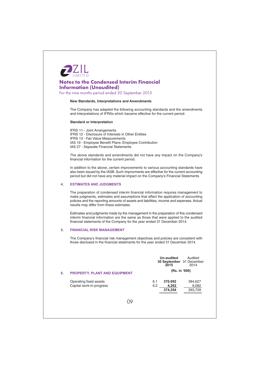

For the nine months period ended 30 September 2015

#### New Standards, Interpretations and Amendments

The Company has adapted the following accounting standards and the amendments and interpretations of IFRSs which became effective for the current period:

#### **Standard or Interpretation**

**IFRS 11 - Joint Arrangements** IFRS 12 - Disclosure of Interests in Other Entities IFRS 13 - Fair Value Measurements IAS 19 - Employee Benefit Plans: Employee Contribution IAS 27 - Separate Financial Statements

The above standards and amendments did not have any impact on the Company's financial information for the current period.

In addition to the above, certain improvements to various accounting standards have also been issued by the IASB. Such improvments are effective for the current accounting period but did not have any material impact on the Company's Financial Statements

#### **ESTIMATES AND JUDGMENTS**  $\mathbf{A}$

The preparation of condensed interim financial information requires management to make judgments, estimates and assumptions that affect the application of accounting policies and the reporting amounts of assets and liabilities, income and expenses. Actual results may differ from these estimates.

Estimates and judgments made by the management in the preparation of this condensed interim financial information are the same as those that were applied to the audited financial statements of the Company for the year ended 31 December 2014.

#### **FINANCIAL RISK MANAGEMENT**  $\overline{R}$

The Company's financial risk management objectives and policies are consistent with those disclosed in the financial statements for the year ended 31 December 2014.

|    |                                                    | Un-audited<br>Audited<br>30 September 31 December<br>2015<br>2014        |
|----|----------------------------------------------------|--------------------------------------------------------------------------|
| 6. | <b>PROPERTY, PLANT AND EQUIPMENT</b>               | (Rs. in '000)                                                            |
|    | Operating fixed assets<br>Capital work-in-progress | 370,092<br>6.1<br>384,627<br>4,262<br>9,082<br>6.2<br>374,354<br>393,709 |
|    | 09                                                 |                                                                          |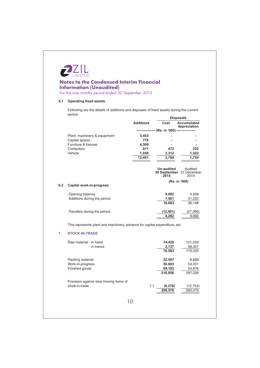

For the nine months period ended 30 September 2015

## 6.1 Operating fixed assets

Following are the details of additions and disposals of fixed assets during the current period: **Disposals** 

|     |                                                                            | pisposais        |                                                 |                                             |
|-----|----------------------------------------------------------------------------|------------------|-------------------------------------------------|---------------------------------------------|
|     |                                                                            | <b>Additions</b> | Cost                                            | <b>Accumulated</b><br>depreciation          |
|     |                                                                            |                  | ---------------- (Rs. in '000) ---------------- |                                             |
|     | Plant, machinery & equipment                                               | 5,453            |                                                 |                                             |
|     | Capital spares                                                             | 778              |                                                 |                                             |
|     | Furniture & fixtures                                                       | 4,300            |                                                 |                                             |
|     | Computers                                                                  | 811              | 472                                             | 232                                         |
|     | Vehicle                                                                    | 1,059            | 2,312                                           | 1,522                                       |
|     |                                                                            | 12,401           | 2.784                                           | 1.754                                       |
|     |                                                                            |                  |                                                 |                                             |
|     |                                                                            |                  | <b>Un-audited</b><br>2015                       | Audited<br>30 September 31 December<br>2014 |
|     |                                                                            |                  |                                                 | (Rs. in '000)                               |
| 6.2 | Capital work-in-progress                                                   |                  |                                                 |                                             |
|     | Opening balance                                                            |                  | 9,082                                           | 4,928                                       |
|     | Additions during the period                                                |                  | 7,581                                           | 31,220                                      |
|     |                                                                            |                  | 16,663                                          | 36,148                                      |
|     | Transfers during the period                                                |                  | (12, 401)                                       | (27,066)                                    |
|     |                                                                            |                  | 4,262                                           | 9,082                                       |
|     |                                                                            |                  |                                                 |                                             |
|     | This represents plant and machinery, advance for capital expenditure, etc. |                  |                                                 |                                             |
| 7.  | <b>STOCK-IN-TRADE</b>                                                      |                  |                                                 |                                             |
|     | Raw material - in hand                                                     |                  | 74,426                                          | 121,029                                     |
|     | - in transit                                                               |                  | 2,137                                           | 58,301                                      |
|     |                                                                            |                  | 76,563                                          | 179,330                                     |
|     | Packing material                                                           |                  | 22,507                                          | 8,689                                       |
|     | Work-in-progress                                                           |                  | 50,603                                          | 54,331                                      |
|     | Finished goods                                                             |                  | 69,183                                          | 54,876                                      |
|     |                                                                            |                  | 218,856                                         | 297,226                                     |
|     | Provision against slow moving items of                                     |                  |                                                 |                                             |
|     | stock-in-trade                                                             | 7.1              | (9.278)                                         | (12.753)                                    |

 $10$ 

 $(9,278)$ 

 $\frac{1}{209,578}$ 

 $(12, 753)$ 

 $\frac{1}{284,473}$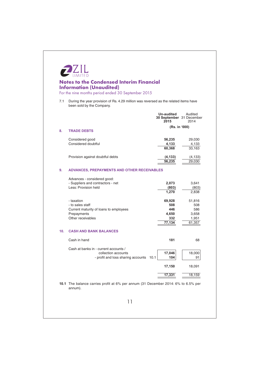|     | <b>Notes to the Condensed Interim Financial</b><br><b>Information (Unaudited)</b><br>For the nine months period ended 30 September 2015 |                                                |                                                  |
|-----|-----------------------------------------------------------------------------------------------------------------------------------------|------------------------------------------------|--------------------------------------------------|
| 7.1 | During the year provision of Rs. 4.29 million was reversed as the related items have<br>been sold by the Company.                       |                                                |                                                  |
|     |                                                                                                                                         | Un-audited<br>30 September 31 December<br>2015 | Audited<br>2014                                  |
| 8.  | <b>TRADE DEBTS</b>                                                                                                                      | (Rs. in '000)                                  |                                                  |
|     | Considered good<br>Considered doubtful                                                                                                  | 56,235<br>4,133<br>60,368                      | 29,030<br>4,133<br>33,163                        |
|     | Provision against doubtful debts                                                                                                        | (4, 133)<br>56,235                             | (4, 133)<br>29,030                               |
| 9.  | ADVANCES, PREPAYMENTS AND OTHER RECEIVABLES                                                                                             |                                                |                                                  |
|     | Advances - considered good:<br>- Suppliers and contractors - net<br>Less: Provision held                                                | 2,073<br>(803)<br>1,270                        | 3,641<br>(803)<br>2,838                          |
|     | - taxation<br>- to sales staff<br>Current maturity of loans to employees<br>Prepayments<br>Other receivables                            | 69,928<br>508<br>446<br>4,650<br>332<br>77,134 | 51,816<br>508<br>586<br>3,658<br>1,951<br>61,357 |
| 10. | <b>CASH AND BANK BALANCES</b>                                                                                                           |                                                |                                                  |
|     | Cash in hand                                                                                                                            | 181                                            | 68                                               |
|     | Cash at banks in - current accounts /<br>collection accounts<br>- profit and loss sharing accounts<br>10.1                              | 17,046<br>104                                  | 18,000<br>91                                     |
|     |                                                                                                                                         | 17,150                                         | 18,091                                           |
|     |                                                                                                                                         | 17,331                                         | 18,159                                           |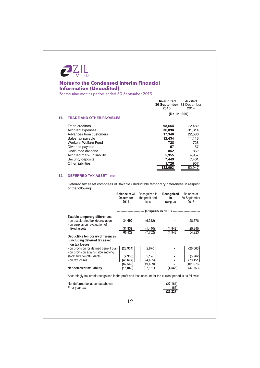

For the nine months period ended 30 September 2015

|     |                                                                                                                                                        | Un-audited<br>30 September 31 December<br>2015           | Audited<br>2014                                          |
|-----|--------------------------------------------------------------------------------------------------------------------------------------------------------|----------------------------------------------------------|----------------------------------------------------------|
| 11. | <b>TRADE AND OTHER PAYABLES</b>                                                                                                                        | (Rs. in '000)                                            |                                                          |
|     | Trade creditors<br>Accrued expenses<br>Advances from customers<br>Sales tax payable<br>Workers' Welfare Fund<br>Dividend payable<br>Unclaimed dividend | 98,654<br>36,898<br>17.340<br>12,434<br>728<br>57<br>852 | 72,482<br>31,814<br>22,586<br>11,113<br>728<br>57<br>852 |
|     | Accrued mark-up liability<br>Security deposits<br>Other liabilities                                                                                    | 5.955<br>7,449<br>1.726<br>182,093                       | 4,957<br>7,401<br>957<br>152,947                         |

## 12. DEFERRED TAX ASSET - net

Deferred tax asset comprises of taxable / deductible temporary differences in respect of the following:

|                                                                                                        | <b>Balance at 31</b><br><b>December</b><br>2014 | Recognized in<br>the profit and<br>loss | Recognized<br>in<br>surplus                | Balance at<br>30 September<br>2015 |
|--------------------------------------------------------------------------------------------------------|-------------------------------------------------|-----------------------------------------|--------------------------------------------|------------------------------------|
|                                                                                                        | -------------------                             |                                         | -- (Rupees in '000) ---------------------- |                                    |
| <b>Taxable temporary differences</b>                                                                   |                                                 |                                         |                                            |                                    |
| - on accelerated tax depreciation<br>- on surplus on revaluation of                                    | 34,690                                          | (6, 312)                                |                                            | 28,378                             |
| fixed assets                                                                                           | 31,839                                          | (1,440)                                 | (4, 548)                                   | 25,845                             |
|                                                                                                        | 66,529                                          | (7, 752)                                | (4, 548)                                   | 54,223                             |
| Deductible temporary differences<br>(including deferred tax asset<br>on tax losses)                    |                                                 |                                         |                                            |                                    |
| - on provision for defined benefit plan<br>- on provision against slow moving                          | (28, 934)                                       | 2,870                                   |                                            | (26, 063)                          |
| stock and doubtful debts                                                                               | (7,938)                                         | 2,176                                   |                                            | (5, 762)                           |
| - on tax losses                                                                                        | (45,697)<br>(82, 569)                           | (24,455)<br>(19, 409)                   |                                            | (70,151)<br>(101,976)              |
| Net deferred tax liability                                                                             | (16,040)                                        | (27,161)                                | (4, 548)                                   | (47,753)                           |
| Accordingly tax credit recognised in the profit and loss account for the current period is as follows: |                                                 |                                         |                                            |                                    |
| Net deferred tax asset (as above)<br>Prior year tax                                                    |                                                 |                                         | (27, 161)<br>(66)<br>(27,227               |                                    |
|                                                                                                        | 12                                              |                                         |                                            |                                    |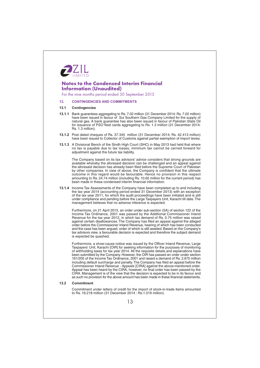

For the nine months period ended 30 September 2015

#### **CONTINGENCIES AND COMMITMENTS**  $13.$

#### $13.1$ **Contingencies**

- 13.1.1 Bank guarantees aggregating to Rs. 7.02 million (31 December 2014: Rs. 7.02 million) have been issued in favour of Sui Southern Gas Company Limited for the supply of natural gas. A bank guarantee has also been issued in favour of Pakistan State Oil for issuance of PSO fleet cards aggregating to Rs. 1.3 million (31 December 2014: Rs. 1.3 million).
- 13.1.2 Post dated cheques of Rs. 37.345 million (31 December 2014: Rs. 42.413 million) have been issued to Collector of Customs against partial exemption of import levies.
- 13.1.3 A Divisional Bench of the Sindh High Court (SHC) in May 2013 had held that where no tax is payable due to tax losses, minimum tax cannot be carried forward for adjustment against the future tax liability.

The Company based on its tax advisors' advice considers that strong grounds are available whereby the aforesaid decision can be challenged and an appeal against the aforesaid decision has already been filed before the Supreme Court of Pakistan by other companies. In view of above, the Company is confident that the ultimate outcome in this regard would be favourable. Hence no provision in this respect amounting to Rs. 24.74 million (including Rs. 10.65 million for the current period) has been made in these condensed interim financial information.

13.1.4 Income Tax Assessments of the Company have been completed up to and including the tax year 2014 (accounting period ended 31 December 2013) with an exception of the tax year 2011, for which the audit proceedings have been initiated and is still under compliance and pending before the Large Taxpayers Unit. Karachi till date. The management believes that no adverse inference is expected.

Furthermore, on 21 April 2015, an order under sub-section (5A) of section 122 of the Income Tax Ordinance, 2001 was passed by the Additional Commissioner Inland<br>Revenue for the tax year 2012, in which tax demand of Rs. 0.75 million was raised against certain disallowances. The Company has filed an appeal against the alleged order before the Commissioner Inland Revenue, hearing of which has been conducted and the case has been argued, order of which is still awaited. Based on the Company's tax advisors view, a favourable decision is expected and therefore the subject demand is expected be quashed.

Furthermore, a show-cause notice was issued by the Officer Inland Revenue, Large Taxpayers' Unit, Karachi [OIR] for seeking information for the purposes of monitoring of withholding taxes for tax year 2014. All the requisite details and explanations have been submitted by the Company. However, the OIR has passed an order under section 161/205 of the Income Tax Ordinance, 2001 and raised a demand of Rs. 2.675 million including default surcharge and penalty. The Company has filed an appeal before the Commissioner Inland Revenue - Appeals [CIRA] against the above-mentioned order. Appeal has been heard by the CIRA, however, no final order has been passed by the CIRA. Management is of the view that the decision is expected to be in its favour and as such no provision for the above amount has been made in these financial statements.

#### $132$ Commitment

Commitment under letters of credit for the import of stock-in-trade items amounted to Rs. 16.218 million (31 December 2014 : Rs. 1.019 million).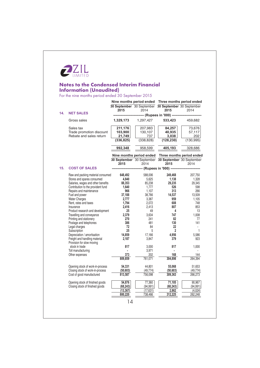

# **Notes to the Condensed Interim Financial<br>Information (Unaudited)**<br>For the nine months period ended 30 September 2015

|     |                                                            |                                                | Nine months period ended  | Three months period ended                                   |                           |
|-----|------------------------------------------------------------|------------------------------------------------|---------------------------|-------------------------------------------------------------|---------------------------|
| 14. |                                                            | 2015                                           | 2014                      | 30 September 30 September 30 September 30 September<br>2015 | 2014                      |
|     | <b>NET SALES</b>                                           | -------------- (Rupees in '000) -------------- |                           |                                                             |                           |
|     | Gross sales                                                | 1,329,173                                      | 1,297,427                 | 533,423                                                     | 459,682                   |
|     | Sales tax<br>Trade promotion discount                      | 211,176<br>103,900                             | 207,983<br>130,107        | 84,257<br>40,935                                            | 73,676<br>57,117          |
|     | Rebate and sales return                                    | 21,749                                         | 737                       | 3,038                                                       | 202                       |
|     |                                                            | (336, 825)                                     | (338, 828)                | (128, 230)                                                  | (130, 995)                |
|     |                                                            | 992,348                                        | 958,599                   | 405,193                                                     | 328,686                   |
|     |                                                            |                                                | Nine months period ended  |                                                             | Three months period ended |
|     |                                                            |                                                | 30 September 30 September | 30 September 30 September                                   |                           |
|     |                                                            | 2015                                           | 2014                      | 2015                                                        | 2014                      |
| 15. | <b>COST OF SALES</b>                                       |                                                |                           | ------------- (Rupees in '000) ---------------              |                           |
|     | Raw and packing material consumed                          | 648,492                                        | 588,006                   | 249,468                                                     | 207,750                   |
|     | Stores and spares consumed                                 | 4,840                                          | 5,625                     | 1,138                                                       | 1,328                     |
|     | Salaries, wages and other benefits                         | 88,353                                         | 85,238                    | 29,235                                                      | 29,345                    |
|     | Contribution to the provident fund                         | 1,640                                          | 1,777                     | 526                                                         | 598                       |
|     | Repairs and maintenance                                    | 966                                            | 1,107                     | 313                                                         | 266                       |
|     | Fuel and power                                             | 37,188                                         | 38,766                    | 14,537                                                      | 13,509                    |
|     | <b>Water Charges</b>                                       | 2,777                                          | 3,387                     | 959                                                         | 1,105                     |
|     | Rent, rates and taxes                                      | 1,794                                          | 2,072                     | 608                                                         | 748                       |
|     | Insurance                                                  | 2.416                                          | 2,413                     | 807                                                         | 853                       |
|     | Product research and development                           | 25                                             | 49                        | 4                                                           | 13                        |
|     | Travelling and conveyance                                  | 2,379                                          | 3,634                     | 747                                                         | 1,008                     |
|     | Printing and stationery                                    | 270                                            | 241                       | 82                                                          | 77                        |
|     | Postage and telephones                                     | 386                                            | 481                       | 130                                                         | 141                       |
|     | Legal charges                                              | 72                                             | 84                        | 22                                                          |                           |
|     | Subscription                                               | 25                                             | 5                         | $\overline{2}$                                              | 1                         |
|     | Depreciation / amortisation                                | 14,859                                         | 17,166                    | 4,956                                                       | 5,586                     |
|     | Freight and handling material<br>Provision for slow moving | 2,187                                          | 3,847                     | 379                                                         | 923                       |
|     | stock in trade                                             | 817                                            | 3,000                     | 817                                                         | 1,000                     |
|     | Toll manufacturing                                         | ä,                                             | 3,971                     | ä,                                                          |                           |
|     | Other expenses                                             | 373                                            | 202                       | 168                                                         | 144                       |
|     |                                                            | 809,859                                        | 761,071                   | 304,898                                                     | 264,394                   |
|     | Opening stock of work-in-process                           | 54,331                                         | 44,801                    | 55,068                                                      | 51,653                    |
|     | Closing stock of work-in-process                           | (50, 603)                                      | (49, 774)                 | (50, 603)                                                   | (49, 774)                 |
|     | Cost of good manufactured                                  | 813,587                                        | 756,098                   | 309,363                                                     | 266,273                   |
|     | Opening stock of finished goods                            | 54,876                                         | 77,360                    | 71,105                                                      | 90,967                    |
|     | Closing stock of finished goods                            | (68, 243)                                      | (94, 991)                 | (68, 243)                                                   | (94, 991)                 |
|     |                                                            | (13, 367)                                      | (17, 631)                 | 2,862                                                       | (4,024)                   |
|     |                                                            | 800,220                                        | 738,466                   | 312,225                                                     | 262,248                   |
|     |                                                            | 14                                             |                           |                                                             |                           |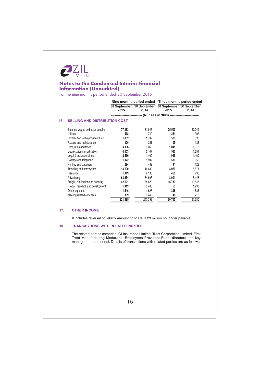

For the nine months period ended 30 September 2015

|     |                                      |         |                                                                          | Nine months period ended Three months period ended |        |
|-----|--------------------------------------|---------|--------------------------------------------------------------------------|----------------------------------------------------|--------|
|     |                                      | 2015    | 30 September 30 September 30 September 30 September<br>2014              | 2015                                               | 2014   |
|     |                                      |         | --------------------------- (Rupees in '000) --------------------------- |                                                    |        |
| 16. | <b>SELLING AND DISTRIBUTION COST</b> |         |                                                                          |                                                    |        |
|     | Salaries, wages and other benefits   | 77,363  | 81,947                                                                   | 25,503                                             | 27,949 |
|     | <b>Utilities</b>                     | 578     | 740                                                                      | 261                                                | 307    |
|     | Contribution to the provident fund   | 1,832   | 1,797                                                                    | 578                                                | 596    |
|     | Repairs and maintenance              | 306     | 351                                                                      | 105                                                | 136    |
|     | Rent, rates and taxes                | 3,306   | 3,063                                                                    | 1,041                                              | 1,018  |
|     | Depreciation / amortisation          | 4,553   | 5,107                                                                    | 1,530                                              | 1,651  |
|     | Legal & professional fee             | 2,560   | 1,400                                                                    | 985                                                | 1,400  |
|     | Postage and telephone                | 1.872   | 1,907                                                                    | 580                                                | 656    |
|     | Printing and stationery              | 294     | 489                                                                      | 91                                                 | 128    |
|     | Travelling and conveyance            | 13,100  | 16,689                                                                   | 4,020                                              | 5,571  |
|     | Insurance                            | 1,349   | 2,130                                                                    | 450                                                | 736    |
|     | Advertising                          | 68,634  | 84,603                                                                   | 8,901                                              | 8,443  |
|     | Freight, distribution and handling   | 42,121  | 38,620                                                                   | 15,733                                             | 10,543 |
|     | Product research and development     | 1,912   | 3,480                                                                    | 53                                                 | 1,298  |
|     | Other expenses                       | 1,546   | 1,625                                                                    | 836                                                | 635    |
|     | Meeting related expenses             | 369     | 3,445                                                                    | 48                                                 | 213    |
|     |                                      | 221,695 | 247,393                                                                  | 60,715                                             | 61,280 |

#### $17.$ **OTHER INCOME**

It includes reversal of liability amounting to Rs. 1.23 million no longer payable.

#### $18.$ **TRANSACTIONS WITH RELATED PARTIES**

The related parties comprise IGI Insurance Limited, Treet Corporation Limited, First Treet Manufacturing Modaraba, Employees Provident Fund, directors and key management personnel. Details of transactions with related parties are as follows: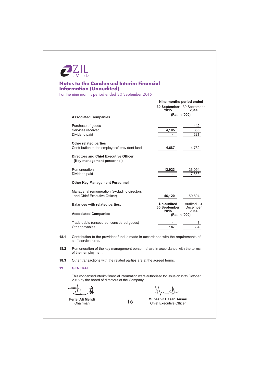

For the nine months period ended 30 September 2015

|      |                                                                                                                                          | Nine months period ended           |                                |  |  |
|------|------------------------------------------------------------------------------------------------------------------------------------------|------------------------------------|--------------------------------|--|--|
|      |                                                                                                                                          | 30 September 30 September<br>2015  | 2014                           |  |  |
|      | <b>Associated Companies</b>                                                                                                              |                                    | (Rs. in '000)                  |  |  |
|      | Purchase of goods<br>Services received<br>Dividend paid                                                                                  | 4.105                              | 1,442<br>655<br>521            |  |  |
|      | <b>Other related parties</b><br>Contribution to the employees' provident fund                                                            | 4,687                              | 4,732                          |  |  |
|      | <b>Directors and Chief Executive Officer</b><br>(Key management personnel)                                                               |                                    |                                |  |  |
|      | Remuneration<br>Dividend paid                                                                                                            | 12,923                             | 25,094<br>7,553                |  |  |
|      | <b>Other Key Management Personnel</b>                                                                                                    |                                    |                                |  |  |
|      | Managerial remuneration (excluding directors<br>and Chief Executive Officer)                                                             | 46,120                             | 50,694                         |  |  |
|      | <b>Balances with related parties:</b>                                                                                                    | Un-audited<br>30 September<br>2015 | Audited 31<br>December<br>2014 |  |  |
|      | <b>Associated Companies</b>                                                                                                              | (Rs. in '000)                      |                                |  |  |
|      | Trade debts (unsecured, considered goods)<br>Other payables                                                                              | 187                                | 33                             |  |  |
| 18.1 | Contribution to the provident fund is made in accordance with the requirements of<br>staff service rules.                                |                                    |                                |  |  |
| 18.2 | Remuneration of the key management personnel are in accordance with the terms<br>of their employment.                                    |                                    |                                |  |  |
| 18.3 | Other transactions with the related parties are at the agreed terms.                                                                     |                                    |                                |  |  |
| 19.  | <b>GENERAL</b>                                                                                                                           |                                    |                                |  |  |
|      | This condensed interim financial information were authorised for issue on 27th October<br>2015 by the board of directors of the Company. |                                    |                                |  |  |
|      |                                                                                                                                          |                                    |                                |  |  |

16

Feriel Ali Mehdi Chairman

Mubashir Hasan Ansari

Chief Executive Officer